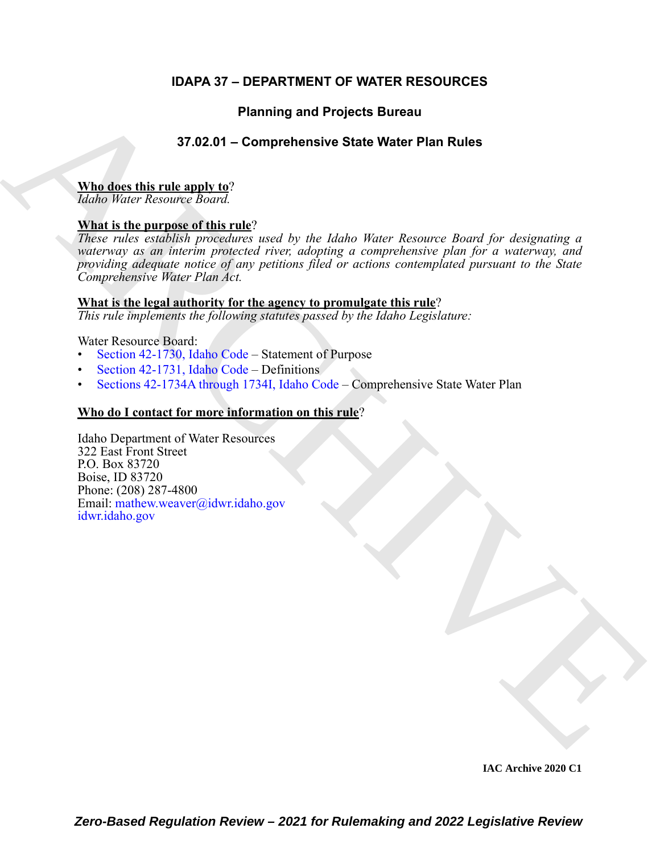### **IDAPA 37 – DEPARTMENT OF WATER RESOURCES**

### **Planning and Projects Bureau**

### **37.02.01 – Comprehensive State Water Plan Rules**

### **Who does this rule apply to**?

*Idaho Water Resource Board.*

### **What is the purpose of this rule**?

Planning and Projects Bureau<br>
37.02.01 – Comprehensive State Water Plan [R](https://legislature.idaho.gov/statutesrules/idstat/Title42/T42CH17/SECT42-1730/)ules<br>
Niha is the numeros of this rule?<br>
What is the numeros of this rule?<br>
Agent rather and the state of the state of the state of the state of the *These rules establish procedures used by the Idaho Water Resource Board for designating a waterway as an interim protected river, adopting a comprehensive plan for a waterway, and providing adequate notice of any petitions filed or actions contemplated pursuant to the State Comprehensive Water Plan Act.*

#### **What is the legal authority for the agency to promulgate this rule**?

*This rule implements the following statutes passed by the Idaho Legislature:*

Water Resource Board:

- Section 42-1730, Idaho Code Statement of Purpose
- Section 42-1731, Idaho Code Definitions
- Sections 42-1734A through 1734I, Idaho Code Comprehensive State Water Plan

#### **Who do I contact for more information on this rule**?

Idaho Department of Water Resources 322 East Front Street P.O. Box 83720 Boise, ID 83720 Phone: (208) 287-4800 Email: mathew.weaver@idwr.idaho.gov idwr.idaho.gov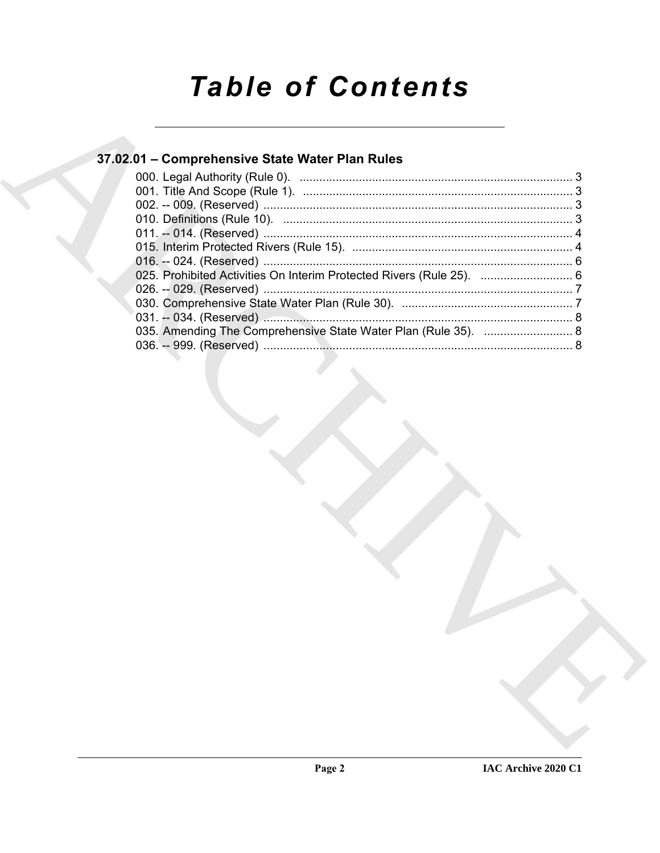# **Table of Contents**

## 37.02.01 - Comprehensive State Water Plan Rules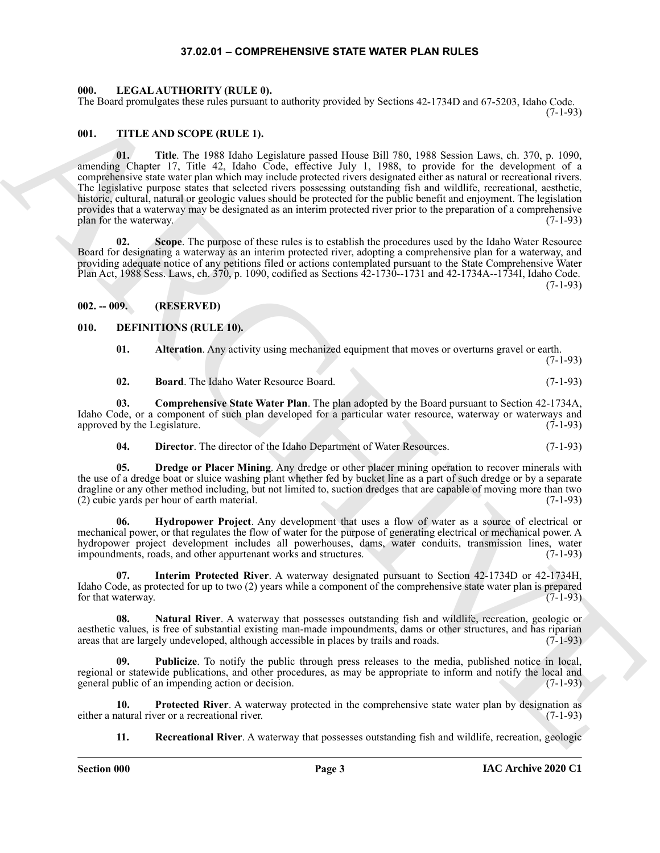#### **37.02.01 – COMPREHENSIVE STATE WATER PLAN RULES**

#### <span id="page-2-17"></span><span id="page-2-1"></span><span id="page-2-0"></span>**000. LEGAL AUTHORITY (RULE 0).**

The Board promulgates these rules pursuant to authority provided by Sections 42-1734D and 67-5203, Idaho Code. (7-1-93)

#### <span id="page-2-18"></span><span id="page-2-2"></span>**001. TITLE AND SCOPE (RULE 1).**

The Board geomission lines theorem is a subset previously by solving 42-1734) and 83-220, Islam (2-18)<br>
WE THE ARCHIVER IN the space of the space of the space of the space of the space of the space of the space of the spa **01. Title**. The 1988 Idaho Legislature passed House Bill 780, 1988 Session Laws, ch. 370, p. 1090, amending Chapter 17, Title 42, Idaho Code, effective July 1, 1988, to provide for the development of a comprehensive state water plan which may include protected rivers designated either as natural or recreational rivers. The legislative purpose states that selected rivers possessing outstanding fish and wildlife, recreational, aesthetic, historic, cultural, natural or geologic values should be protected for the public benefit and enjoyment. The legislation provides that a waterway may be designated as an interim protected river prior to the preparation of a comprehensive plan for the waterway. (7-1-93)

**02. Scope**. The purpose of these rules is to establish the procedures used by the Idaho Water Resource Board for designating a waterway as an interim protected river, adopting a comprehensive plan for a waterway, and providing adequate notice of any petitions filed or actions contemplated pursuant to the State Comprehensive Water Plan Act, 1988 Sess. Laws, ch. 370, p. 1090, codified as Sections 42-1730--1731 and 42-1734A--1734I, Idaho Code. (7-1-93)

#### <span id="page-2-3"></span>**002. -- 009. (RESERVED)**

#### <span id="page-2-4"></span>**010. DEFINITIONS (RULE 10).**

<span id="page-2-6"></span><span id="page-2-5"></span>**01. Alteration**. Any activity using mechanized equipment that moves or overturns gravel or earth. (7-1-93)

<span id="page-2-8"></span><span id="page-2-7"></span>**02. Board**. The Idaho Water Resource Board. (7-1-93)

**03. Comprehensive State Water Plan**. The plan adopted by the Board pursuant to Section 42-1734A, Idaho Code, or a component of such plan developed for a particular water resource, waterway or waterways and approved by the Legislature. (7-1-93) approved by the Legislature.

<span id="page-2-10"></span><span id="page-2-9"></span>**04. Director**. The director of the Idaho Department of Water Resources. (7-1-93)

**05. Dredge or Placer Mining**. Any dredge or other placer mining operation to recover minerals with the use of a dredge boat or sluice washing plant whether fed by bucket line as a part of such dredge or by a separate dragline or any other method including, but not limited to, suction dredges that are capable of moving more than two (2) cubic yards per hour of earth material. (7-1-93)

<span id="page-2-11"></span>Hydropower Project. Any development that uses a flow of water as a source of electrical or mechanical power, or that regulates the flow of water for the purpose of generating electrical or mechanical power. A hydropower project development includes all powerhouses, dams, water conduits, transmission lines, water impoundments, roads, and other appurtenant works and structures. (7-1-93)

<span id="page-2-12"></span>**07. Interim Protected River**. A waterway designated pursuant to Section 42-1734D or 42-1734H, Idaho Code, as protected for up to two (2) years while a component of the comprehensive state water plan is prepared for that waterway.

<span id="page-2-13"></span>**08.** Natural River. A waterway that possesses outstanding fish and wildlife, recreation, geologic or aesthetic values, is free of substantial existing man-made impoundments, dams or other structures, and has riparian areas that are largely undeveloped, although accessible in places by trails and roads. (7-1-93) areas that are largely undeveloped, although accessible in places by trails and roads.

<span id="page-2-15"></span>**09. Publicize**. To notify the public through press releases to the media, published notice in local, regional or statewide publications, and other procedures, as may be appropriate to inform and notify the local and general public of an impending action or decision. general public of an impending action or decision.

**10. Protected River**. A waterway protected in the comprehensive state water plan by designation as either a natural river or a recreational river. (7-1-93)

<span id="page-2-16"></span><span id="page-2-14"></span>**11. Recreational River**. A waterway that possesses outstanding fish and wildlife, recreation, geologic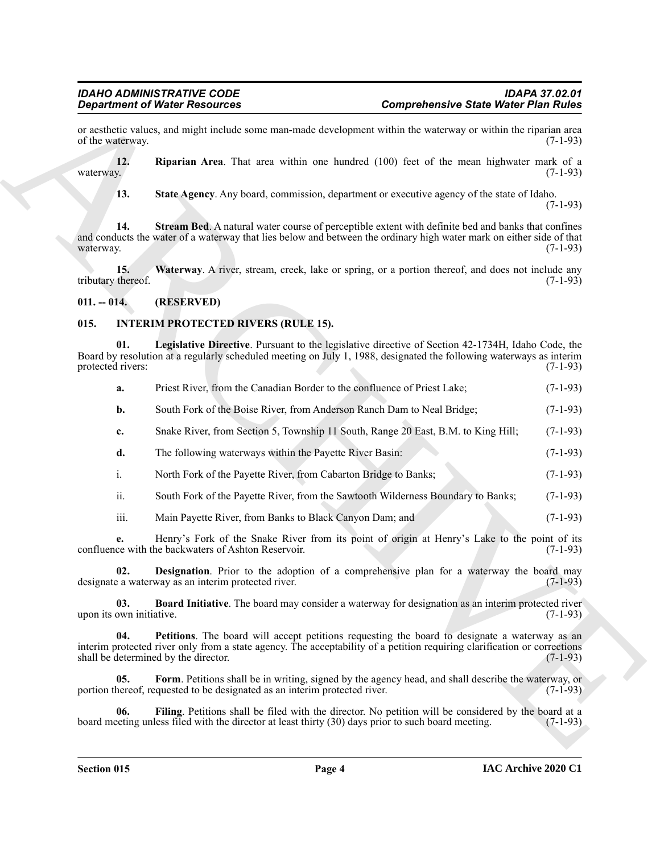#### <span id="page-3-12"></span><span id="page-3-11"></span><span id="page-3-10"></span><span id="page-3-9"></span><span id="page-3-8"></span><span id="page-3-7"></span><span id="page-3-6"></span><span id="page-3-5"></span><span id="page-3-4"></span><span id="page-3-3"></span><span id="page-3-1"></span><span id="page-3-0"></span>**015. INTERIM PROTECTED RIVERS (RULE 15).**

<span id="page-3-2"></span>

|                                 | <b>Department of Water Resources</b>                                                                                                                                                                                                                              | <b>Comprehensive State Water Plan Rules</b> |  |
|---------------------------------|-------------------------------------------------------------------------------------------------------------------------------------------------------------------------------------------------------------------------------------------------------------------|---------------------------------------------|--|
| of the waterway.                | or aesthetic values, and might include some man-made development within the waterway or within the riparian area                                                                                                                                                  | $(7-1-93)$                                  |  |
| 12.<br>waterway.                | Riparian Area. That area within one hundred (100) feet of the mean highwater mark of a                                                                                                                                                                            | $(7-1-93)$                                  |  |
| 13.                             | State Agency. Any board, commission, department or executive agency of the state of Idaho.                                                                                                                                                                        | $(7-1-93)$                                  |  |
| 14.<br>waterway.                | Stream Bed. A natural water course of perceptible extent with definite bed and banks that confines<br>and conducts the water of a waterway that lies below and between the ordinary high water mark on either side of that                                        | $(7-1-93)$                                  |  |
| 15.<br>tributary thereof.       | Waterway. A river, stream, creek, lake or spring, or a portion thereof, and does not include any                                                                                                                                                                  | $(7-1-93)$                                  |  |
| $011. - 014.$                   | (RESERVED)                                                                                                                                                                                                                                                        |                                             |  |
| 015.                            | <b>INTERIM PROTECTED RIVERS (RULE 15).</b>                                                                                                                                                                                                                        |                                             |  |
| 01.<br>protected rivers:        | Legislative Directive. Pursuant to the legislative directive of Section 42-1734H, Idaho Code, the<br>Board by resolution at a regularly scheduled meeting on July 1, 1988, designated the following waterways as interim                                          | $(7-1-93)$                                  |  |
| a.                              | Priest River, from the Canadian Border to the confluence of Priest Lake;                                                                                                                                                                                          | $(7-1-93)$                                  |  |
| b.                              | South Fork of the Boise River, from Anderson Ranch Dam to Neal Bridge;                                                                                                                                                                                            | $(7-1-93)$                                  |  |
| c.                              | Snake River, from Section 5, Township 11 South, Range 20 East, B.M. to King Hill;                                                                                                                                                                                 | $(7-1-93)$                                  |  |
| d.                              | The following waterways within the Payette River Basin:                                                                                                                                                                                                           | $(7-1-93)$                                  |  |
| i.                              | North Fork of the Payette River, from Cabarton Bridge to Banks;                                                                                                                                                                                                   | $(7-1-93)$                                  |  |
| ii.                             | South Fork of the Payette River, from the Sawtooth Wilderness Boundary to Banks;                                                                                                                                                                                  | $(7-1-93)$                                  |  |
| iii.                            | Main Payette River, from Banks to Black Canyon Dam; and                                                                                                                                                                                                           | $(7-1-93)$                                  |  |
| e.                              | Henry's Fork of the Snake River from its point of origin at Henry's Lake to the point of its<br>confluence with the backwaters of Ashton Reservoir.                                                                                                               | $(7-1-93)$                                  |  |
| 02.                             | Designation. Prior to the adoption of a comprehensive plan for a waterway the board may<br>designate a waterway as an interim protected river.                                                                                                                    | $(7-1-93)$                                  |  |
| 03.<br>upon its own initiative. | Board Initiative. The board may consider a waterway for designation as an interim protected river                                                                                                                                                                 | $(7-1-93)$                                  |  |
| 04.                             | Petitions. The board will accept petitions requesting the board to designate a waterway as an<br>interim protected river only from a state agency. The acceptability of a petition requiring clarification or corrections<br>shall be determined by the director. | $(7-1-93)$                                  |  |
| 05.                             | Form. Petitions shall be in writing, signed by the agency head, and shall describe the waterway, or<br>portion thereof, requested to be designated as an interim protected river.                                                                                 | $(7-1-93)$                                  |  |
| 06.                             | Filing. Petitions shall be filed with the director. No petition will be considered by the board at a<br>board meeting unless filed with the director at least thirty (30) days prior to such board meeting.                                                       | $(7-1-93)$                                  |  |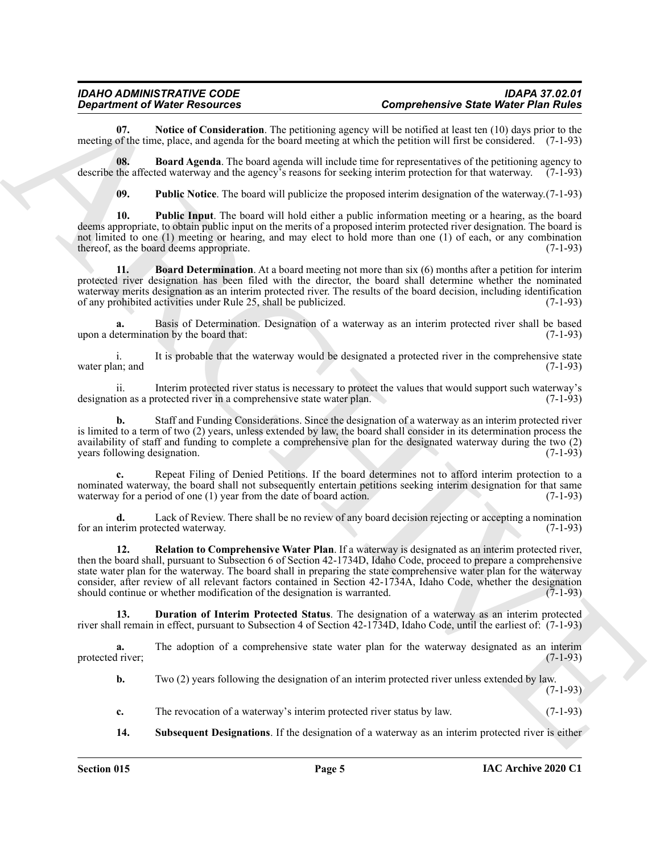<span id="page-4-3"></span>**07.** Notice of Consideration. The petitioning agency will be notified at least ten (10) days prior to the meeting of the time, place, and agenda for the board meeting at which the petition will first be considered. (7-1-93)

**08. Board Agenda**. The board agenda will include time for representatives of the petitioning agency to describe the affected waterway and the agency's reasons for seeking interim protection for that waterway. (7-1-93)

<span id="page-4-5"></span><span id="page-4-4"></span><span id="page-4-1"></span><span id="page-4-0"></span>**09. Public Notice**. The board will publicize the proposed interim designation of the waterway.(7-1-93)

**10. Public Input**. The board will hold either a public information meeting or a hearing, as the board deems appropriate, to obtain public input on the merits of a proposed interim protected river designation. The board is not limited to one (1) meeting or hearing, and may elect to hold more than one (1) of each, or any combination thereof, as the board deems appropriate. (7-1-93)

**11. Board Determination**. At a board meeting not more than six (6) months after a petition for interim protected river designation has been filed with the director, the board shall determine whether the nominated waterway merits designation as an interim protected river. The results of the board decision, including identification of any prohibited activities under Rule 25, shall be publicized. (7-1-93) of any prohibited activities under Rule 25, shall be publicized.

**a.** Basis of Determination. Designation of a waterway as an interim protected river shall be based upon a determination by the board that: (7-1-93)

i. It is probable that the waterway would be designated a protected river in the comprehensive state water plan; and  $(7-1-93)$ 

ii. Interim protected river status is necessary to protect the values that would support such waterway's ion as a protected river in a comprehensive state water plan. (7-1-93) designation as a protected river in a comprehensive state water plan.

**b.** Staff and Funding Considerations. Since the designation of a waterway as an interim protected river is limited to a term of two (2) years, unless extended by law, the board shall consider in its determination process the availability of staff and funding to complete a comprehensive plan for the designated waterway during the two (2) years following designation.

**c.** Repeat Filing of Denied Petitions. If the board determines not to afford interim protection to a nominated waterway, the board shall not subsequently entertain petitions seeking interim designation for that same<br>waterway for a period of one (1) year from the date of board action. (7-1-93) waterway for a period of one  $(1)$  year from the date of board action.

<span id="page-4-6"></span>**d.** Lack of Review. There shall be no review of any board decision rejecting or accepting a nomination for an interim protected waterway. (7-1-93)

*General content of Ministers* (*Some because of Content of Ministers* (*Some because of Ministers* (*Some because of Alexandro Content of Alexandro Content of Alexandro Content of Alexandro Content of Alexandro Content* **12. Relation to Comprehensive Water Plan**. If a waterway is designated as an interim protected river, then the board shall, pursuant to Subsection 6 of Section 42-1734D, Idaho Code, proceed to prepare a comprehensive state water plan for the waterway. The board shall in preparing the state comprehensive water plan for the waterway consider, after review of all relevant factors contained in Section 42-1734A, Idaho Code, whether the designation should continue or whether modification of the designation is warranted. (7-1-93) should continue or whether modification of the designation is warranted.

<span id="page-4-2"></span>**13. Duration of Interim Protected Status**. The designation of a waterway as an interim protected river shall remain in effect, pursuant to Subsection 4 of Section 42-1734D, Idaho Code, until the earliest of: (7-1-93)

**a.** The adoption of a comprehensive state water plan for the waterway designated as an interim fiver; protected river;

**b.** Two (2) years following the designation of an interim protected river unless extended by law.

(7-1-93)

- **c.** The revocation of a waterway's interim protected river status by law. (7-1-93)
- <span id="page-4-7"></span>**14. Subsequent Designations**. If the designation of a waterway as an interim protected river is either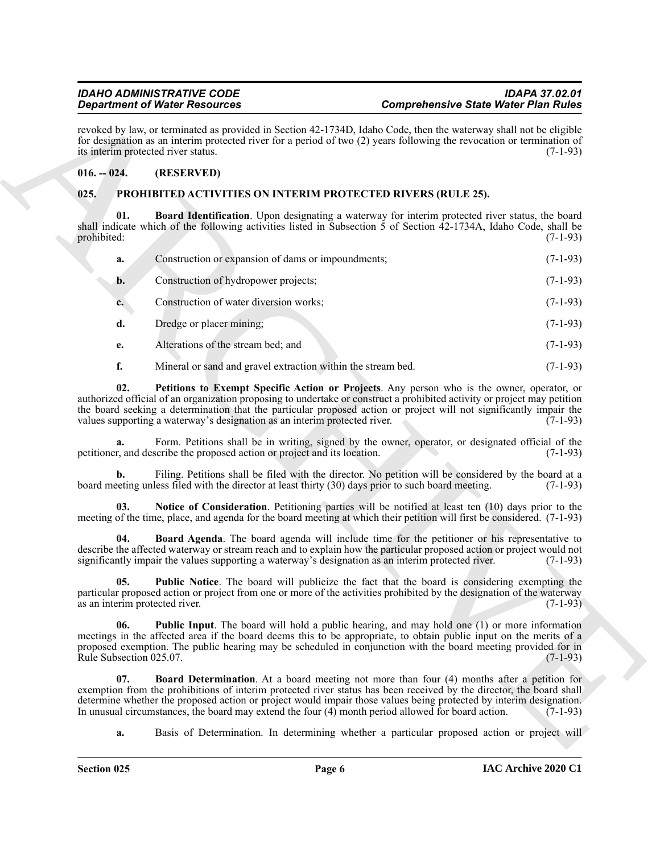#### <span id="page-5-0"></span>**016. -- 024. (RESERVED)**

#### <span id="page-5-9"></span><span id="page-5-8"></span><span id="page-5-7"></span><span id="page-5-6"></span><span id="page-5-5"></span><span id="page-5-4"></span><span id="page-5-3"></span><span id="page-5-2"></span><span id="page-5-1"></span>**025. PROHIBITED ACTIVITIES ON INTERIM PROTECTED RIVERS (RULE 25).**

|                                                                                                                                                                                                                                                                                                   | <b>Department of Water Resources</b>                                      |                                                                                                                                                                                                                                                                                                                                                                                                                                                       | <b>Comprehensive State Water Plan Rules</b> |  |
|---------------------------------------------------------------------------------------------------------------------------------------------------------------------------------------------------------------------------------------------------------------------------------------------------|---------------------------------------------------------------------------|-------------------------------------------------------------------------------------------------------------------------------------------------------------------------------------------------------------------------------------------------------------------------------------------------------------------------------------------------------------------------------------------------------------------------------------------------------|---------------------------------------------|--|
| revoked by law, or terminated as provided in Section 42-1734D, Idaho Code, then the waterway shall not be eligible<br>for designation as an interim protected river for a period of two (2) years following the revocation or termination of<br>its interim protected river status.<br>$(7-1-93)$ |                                                                           |                                                                                                                                                                                                                                                                                                                                                                                                                                                       |                                             |  |
| $016. - 024.$                                                                                                                                                                                                                                                                                     | (RESERVED)                                                                |                                                                                                                                                                                                                                                                                                                                                                                                                                                       |                                             |  |
| 025.                                                                                                                                                                                                                                                                                              |                                                                           | <b>PROHIBITED ACTIVITIES ON INTERIM PROTECTED RIVERS (RULE 25).</b>                                                                                                                                                                                                                                                                                                                                                                                   |                                             |  |
| 01.<br>prohibited:                                                                                                                                                                                                                                                                                |                                                                           | Board Identification. Upon designating a waterway for interim protected river status, the board<br>shall indicate which of the following activities listed in Subsection $\bar{5}$ of Section $\bar{4}2$ -1734A, Idaho Code, shall be                                                                                                                                                                                                                 | $(7-1-93)$                                  |  |
| a.                                                                                                                                                                                                                                                                                                | Construction or expansion of dams or impoundments;                        |                                                                                                                                                                                                                                                                                                                                                                                                                                                       | $(7-1-93)$                                  |  |
| b.                                                                                                                                                                                                                                                                                                | Construction of hydropower projects;                                      |                                                                                                                                                                                                                                                                                                                                                                                                                                                       | $(7-1-93)$                                  |  |
| $c_{\cdot}$                                                                                                                                                                                                                                                                                       | Construction of water diversion works;                                    |                                                                                                                                                                                                                                                                                                                                                                                                                                                       | $(7-1-93)$                                  |  |
| d.                                                                                                                                                                                                                                                                                                | Dredge or placer mining;                                                  |                                                                                                                                                                                                                                                                                                                                                                                                                                                       | $(7-1-93)$                                  |  |
| e.                                                                                                                                                                                                                                                                                                | Alterations of the stream bed; and                                        |                                                                                                                                                                                                                                                                                                                                                                                                                                                       | $(7-1-93)$                                  |  |
| f.                                                                                                                                                                                                                                                                                                | Mineral or sand and gravel extraction within the stream bed.              |                                                                                                                                                                                                                                                                                                                                                                                                                                                       | $(7-1-93)$                                  |  |
| 02.                                                                                                                                                                                                                                                                                               | values supporting a waterway's designation as an interim protected river. | Petitions to Exempt Specific Action or Projects. Any person who is the owner, operator, or<br>authorized official of an organization proposing to undertake or construct a prohibited activity or project may petition<br>the board seeking a determination that the particular proposed action or project will not significantly impair the                                                                                                          | $(7-1-93)$                                  |  |
| a.                                                                                                                                                                                                                                                                                                | petitioner, and describe the proposed action or project and its location. | Form. Petitions shall be in writing, signed by the owner, operator, or designated official of the                                                                                                                                                                                                                                                                                                                                                     | $(7-1-93)$                                  |  |
| b.                                                                                                                                                                                                                                                                                                |                                                                           | Filing. Petitions shall be filed with the director. No petition will be considered by the board at a<br>board meeting unless filed with the director at least thirty (30) days prior to such board meeting.                                                                                                                                                                                                                                           | $(7-1-93)$                                  |  |
| 03.                                                                                                                                                                                                                                                                                               |                                                                           | Notice of Consideration. Petitioning parties will be notified at least ten (10) days prior to the<br>meeting of the time, place, and agenda for the board meeting at which their petition will first be considered. (7-1-93)                                                                                                                                                                                                                          |                                             |  |
| 04.                                                                                                                                                                                                                                                                                               |                                                                           | <b>Board Agenda</b> . The board agenda will include time for the petitioner or his representative to<br>describe the affected waterway or stream reach and to explain how the particular proposed action or project would not<br>significantly impair the values supporting a waterway's designation as an interim protected river.                                                                                                                   | $(7-1-93)$                                  |  |
| 05.<br>as an interim protected river.                                                                                                                                                                                                                                                             |                                                                           | <b>Public Notice.</b> The board will publicize the fact that the board is considering exempting the<br>particular proposed action or project from one or more of the activities prohibited by the designation of the waterway                                                                                                                                                                                                                         | $(7-1-93)$                                  |  |
| 06.<br>Rule Subsection 025.07.                                                                                                                                                                                                                                                                    |                                                                           | <b>Public Input.</b> The board will hold a public hearing, and may hold one (1) or more information<br>meetings in the affected area if the board deems this to be appropriate, to obtain public input on the merits of a<br>proposed exemption. The public hearing may be scheduled in conjunction with the board meeting provided for in                                                                                                            | $(7-1-93)$                                  |  |
| 07.                                                                                                                                                                                                                                                                                               |                                                                           | <b>Board Determination.</b> At a board meeting not more than four (4) months after a petition for<br>exemption from the prohibitions of interim protected river status has been received by the director, the board shall<br>determine whether the proposed action or project would impair those values being protected by interim designation.<br>In unusual circumstances, the board may extend the four (4) month period allowed for board action. | $(7-1-93)$                                  |  |
|                                                                                                                                                                                                                                                                                                   |                                                                           |                                                                                                                                                                                                                                                                                                                                                                                                                                                       |                                             |  |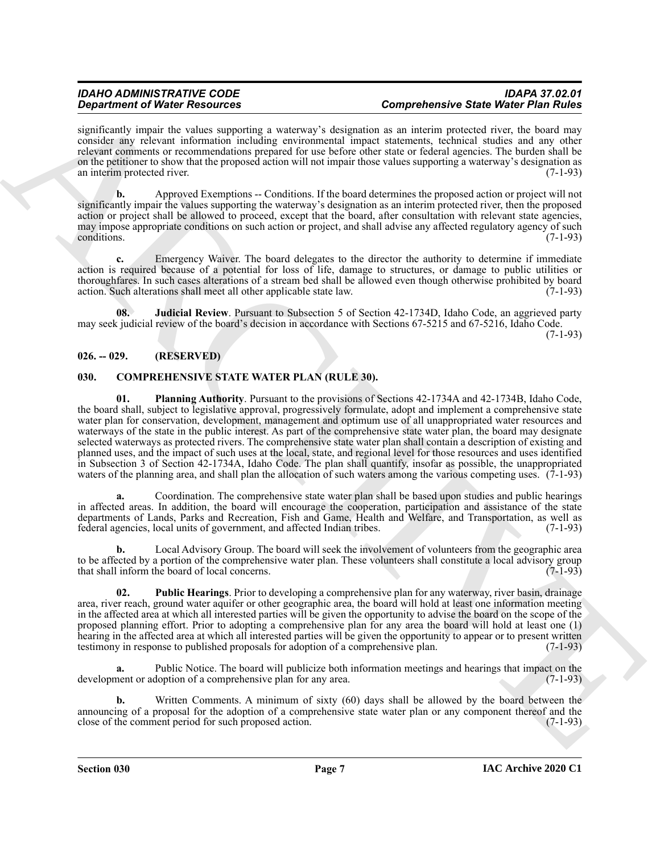#### *IDAHO ADMINISTRATIVE CODE IDAPA 37.02.01 Department of Water Resources Comprehensive State Water Plan Rules*

significantly impair the values supporting a waterway's designation as an interim protected river, the board may consider any relevant information including environmental impact statements, technical studies and any other relevant comments or recommendations prepared for use before other state or federal agencies. The burden shall be on the petitioner to show that the proposed action will not impair those values supporting a waterway's designation as an interim protected river. (7-1-93) an interim protected river.

**b.** Approved Exemptions -- Conditions. If the board determines the proposed action or project will not significantly impair the values supporting the waterway's designation as an interim protected river, then the proposed action or project shall be allowed to proceed, except that the board, after consultation with relevant state agencies, may impose appropriate conditions on such action or project, and shall advise any affected regulatory agency of such conditions. (7-1-93)

**c.** Emergency Waiver. The board delegates to the director the authority to determine if immediate action is required because of a potential for loss of life, damage to structures, or damage to public utilities or thoroughfares. In such cases alterations of a stream bed shall be allowed even though otherwise prohibited by board action. Such alterations shall meet all other applicable state law. (7-1-93)

<span id="page-6-5"></span>**08. Judicial Review**. Pursuant to Subsection 5 of Section 42-1734D, Idaho Code, an aggrieved party may seek judicial review of the board's decision in accordance with Sections 67-5215 and 67-5216, Idaho Code. (7-1-93)

#### <span id="page-6-0"></span>**026. -- 029. (RESERVED)**

#### <span id="page-6-3"></span><span id="page-6-2"></span><span id="page-6-1"></span>**030. COMPREHENSIVE STATE WATER PLAN (RULE 30).**

*Dependents of Newton Resolution*, the state of the proportionistic state Weight Press Constrainers of the Resolution<br>
Analysis of Newton Resolution Constrainers (and the state of the state of the state of Newton Resolu **01. Planning Authority**. Pursuant to the provisions of Sections 42-1734A and 42-1734B, Idaho Code, the board shall, subject to legislative approval, progressively formulate, adopt and implement a comprehensive state water plan for conservation, development, management and optimum use of all unappropriated water resources and waterways of the state in the public interest. As part of the comprehensive state water plan, the board may designate selected waterways as protected rivers. The comprehensive state water plan shall contain a description of existing and planned uses, and the impact of such uses at the local, state, and regional level for those resources and uses identified in Subsection 3 of Section 42-1734A, Idaho Code. The plan shall quantify, insofar as possible, the unappropriated waters of the planning area, and shall plan the allocation of such waters among the various competing uses. (7-1-93)

**a.** Coordination. The comprehensive state water plan shall be based upon studies and public hearings in affected areas. In addition, the board will encourage the cooperation, participation and assistance of the state departments of Lands, Parks and Recreation, Fish and Game, Health and Welfare, and Transportation, as well as federal agencies, local units of government, and affected Indian tribes. (7-1-93)

**b.** Local Advisory Group. The board will seek the involvement of volunteers from the geographic area to be affected by a portion of the comprehensive water plan. These volunteers shall constitute a local advisory group that shall inform the board of local concerns. (7-1-93)

<span id="page-6-4"></span>**02. Public Hearings**. Prior to developing a comprehensive plan for any waterway, river basin, drainage area, river reach, ground water aquifer or other geographic area, the board will hold at least one information meeting in the affected area at which all interested parties will be given the opportunity to advise the board on the scope of the proposed planning effort. Prior to adopting a comprehensive plan for any area the board will hold at least one (1) hearing in the affected area at which all interested parties will be given the opportunity to appear or to present written testimony in response to published proposals for adoption of a comprehensive plan. (7-1-93)

**a.** Public Notice. The board will publicize both information meetings and hearings that impact on the development or adoption of a comprehensive plan for any area. (7-1-93)

**b.** Written Comments. A minimum of sixty (60) days shall be allowed by the board between the announcing of a proposal for the adoption of a comprehensive state water plan or any component thereof and the close of the comment period for such proposed action. (7-1-93)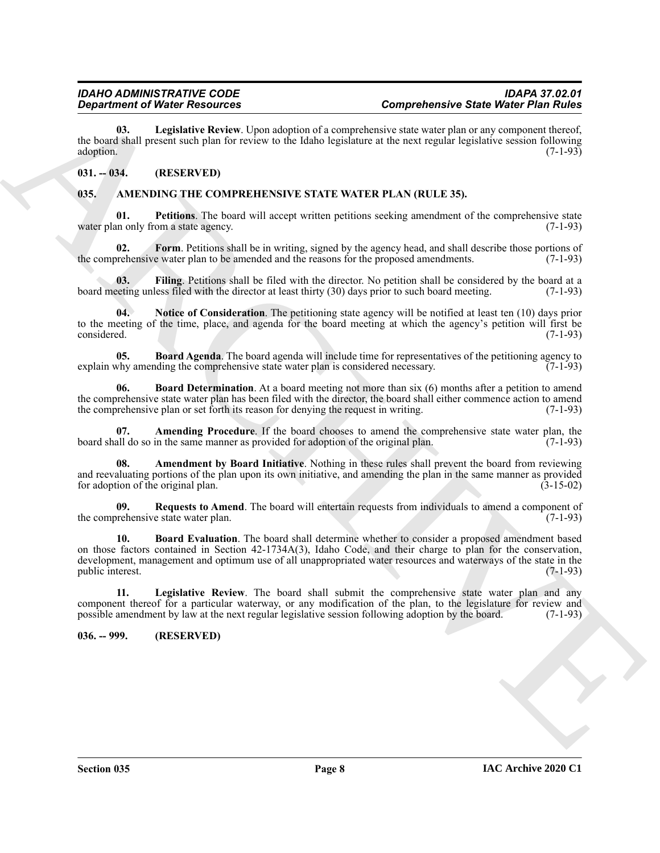<span id="page-7-15"></span>**03. Legislative Review**. Upon adoption of a comprehensive state water plan or any component thereof, the board shall present such plan for review to the Idaho legislature at the next regular legislative session following  $\alpha$  adoption. (7-1-93)

#### <span id="page-7-0"></span>**031. -- 034. (RESERVED)**

#### <span id="page-7-3"></span><span id="page-7-1"></span>**035. AMENDING THE COMPREHENSIVE STATE WATER PLAN (RULE 35).**

<span id="page-7-13"></span>**01. Petitions**. The board will accept written petitions seeking amendment of the comprehensive state water plan only from a state agency. (7-1-93)

<span id="page-7-10"></span>**02.** Form. Petitions shall be in writing, signed by the agency head, and shall describe those portions of prehensive water plan to be amended and the reasons for the proposed amendments. (7-1-93) the comprehensive water plan to be amended and the reasons for the proposed amendments.

<span id="page-7-9"></span>**03.** Filing. Petitions shall be filed with the director. No petition shall be considered by the board at a setting unless filed with the director at least thirty (30) days prior to such board meeting. (7-1-93) board meeting unless filed with the director at least thirty (30) days prior to such board meeting.

<span id="page-7-12"></span>**04. Notice of Consideration**. The petitioning state agency will be notified at least ten (10) days prior to the meeting of the time, place, and agenda for the board meeting at which the agency's petition will first be considered. (7-1-93)

<span id="page-7-6"></span>**05. Board Agenda**. The board agenda will include time for representatives of the petitioning agency to why amending the comprehensive state water plan is considered necessary. (7-1-93) explain why amending the comprehensive state water plan is considered necessary.

<span id="page-7-7"></span>**06. Board Determination**. At a board meeting not more than six (6) months after a petition to amend the comprehensive state water plan has been filed with the director, the board shall either commence action to amend the comprehensive plan or set forth its reason for denying the request in writing. (7-1-93)

<span id="page-7-4"></span>Amending Procedure. If the board chooses to amend the comprehensive state water plan, the board shall do so in the same manner as provided for adoption of the original plan. (7-1-93)

<span id="page-7-5"></span>**08. Amendment by Board Initiative**. Nothing in these rules shall prevent the board from reviewing and reevaluating portions of the plan upon its own initiative, and amending the plan in the same manner as provided for adoption of the original plan. (3-15-02)

<span id="page-7-14"></span><span id="page-7-8"></span>**09.** Requests to Amend. The board will entertain requests from individuals to amend a component of prehensive state water plan. (7-1-93) the comprehensive state water plan.

**Expansion of New Procedures** the New Happenbear and the New Happenbear and the New Happenbear and the New Happenbear and the New Happenbear and the New Happenbear and the New Happenbear and the New Happenbear and the New **10. Board Evaluation**. The board shall determine whether to consider a proposed amendment based on those factors contained in Section 42-1734A(3), Idaho Code, and their charge to plan for the conservation, development, management and optimum use of all unappropriated water resources and waterways of the state in the public interest. (7-1-93)

<span id="page-7-11"></span>**11. Legislative Review**. The board shall submit the comprehensive state water plan and any component thereof for a particular waterway, or any modification of the plan, to the legislature for review and<br>possible amendment by law at the next regular legislative session following adoption by the board. (7-1-93) possible amendment by law at the next regular legislative session following adoption by the board.

#### <span id="page-7-2"></span>**036. -- 999. (RESERVED)**